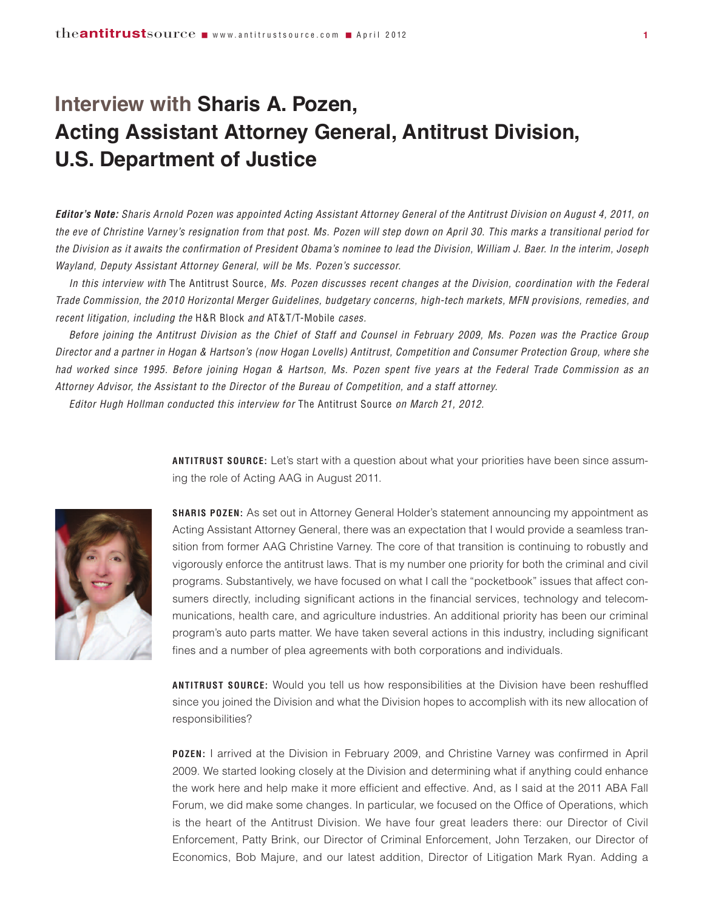## **Interview with Sharis A. Pozen, Acting Assistant Attorney General, Antitrust Division, U.S. Department of Justice**

Editor's Note: Sharis Arnold Pozen was appointed Acting Assistant Attorney General of the Antitrust Division on August 4, 2011, on the eve of Christine Varney's resignation from that post. Ms. Pozen will step down on April 30. This marks a transitional period for the Division as it awaits the confirmation of President Obama's nominee to lead the Division, William J. Baer. In the interim, Joseph *Wayland, Deputy Assistant Attorney General, will be Ms. Pozen's successor.*

In this interview with The Antitrust Source, Ms. Pozen discusses recent changes at the Division, coordination with the Federal Trade Commission, the 2010 Horizontal Merger Guidelines, budgetary concerns, high-tech markets, MFN provisions, remedies, and *recent litigation, including the* H&R Block *and* AT&T/T-Mobile *cases.*

Before joining the Antitrust Division as the Chief of Staff and Counsel in February 2009, Ms. Pozen was the Practice Group Director and a partner in Hogan & Hartson's (now Hogan Lovells) Antitrust, Competition and Consumer Protection Group, where she had worked since 1995. Before joining Hogan & Hartson, Ms. Pozen spent five years at the Federal Trade Commission as an *Attorney Advisor, the Assistant to the Director of the Bureau of Competition, and a staff attorney.*

*Editor Hugh Hollman conducted this interview for* The Antitrust Source *on March 21, 2012.*



**ANTITRUST SOURCE:** Let's start with a question about what your priorities have been since assuming the role of Acting AAG in August 2011.

**SHARIS POZEN:** As set out in Attorney General Holder's statement announcing my appointment as Acting Assistant Attorney General, there was an expectation that I would provide a seamless transition from former AAG Christine Varney. The core of that transition is continuing to robustly and vigorously enforce the antitrust laws. That is my number one priority for both the criminal and civil programs. Substantively, we have focused on what I call the "pocketbook" issues that affect consumers directly, including significant actions in the financial services, technology and telecommunications, health care, and agriculture industries. An additional priority has been our criminal program's auto parts matter. We have taken several actions in this industry, including significant fines and a number of plea agreements with both corporations and individuals.

**ANTITRUST SOURCE:** Would you tell us how responsibilities at the Division have been reshuffled since you joined the Division and what the Division hopes to accomplish with its new allocation of responsibilities?

**POZEN:** I arrived at the Division in February 2009, and Christine Varney was confirmed in April 2009. We started looking closely at the Division and determining what if anything could enhance the work here and help make it more efficient and effective. And, as I said at the 2011 ABA Fall Forum, we did make some changes. In particular, we focused on the Office of Operations, which is the heart of the Antitrust Division. We have four great leaders there: our Director of Civil Enforcement, Patty Brink, our Director of Criminal Enforcement, John Terzaken, our Director of Economics, Bob Majure, and our latest addition, Director of Litigation Mark Ryan. Adding a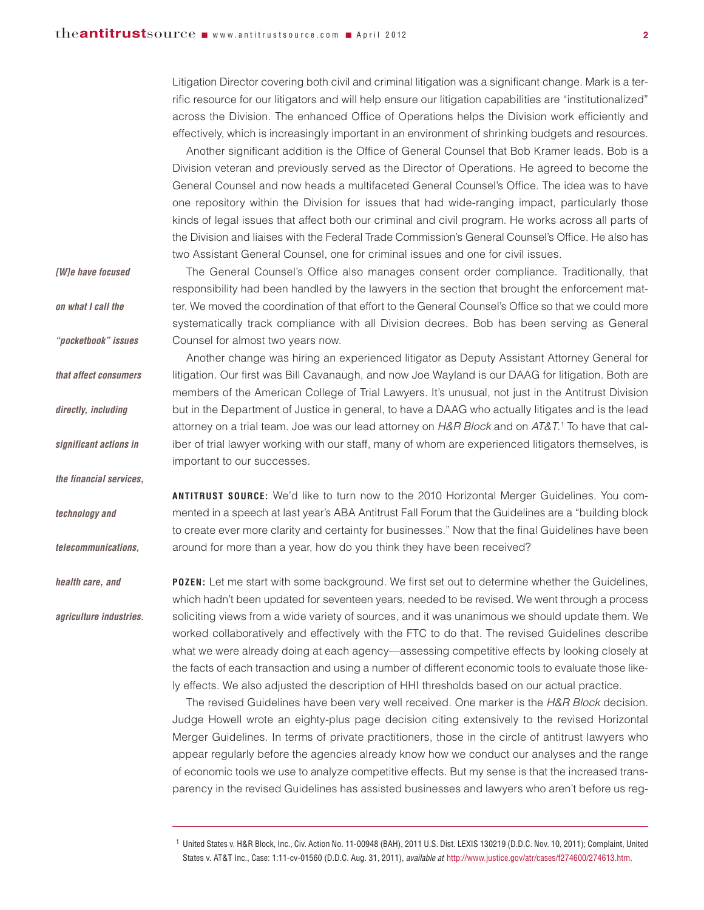Litigation Director covering both civil and criminal litigation was a significant change. Mark is a terrific resource for our litigators and will help ensure our litigation capabilities are "institutionalized" across the Division. The enhanced Office of Operations helps the Division work efficiently and effectively, which is increasingly important in an environment of shrinking budgets and resources.

Another significant addition is the Office of General Counsel that Bob Kramer leads. Bob is a Division veteran and previously served as the Director of Operations. He agreed to become the General Counsel and now heads a multifaceted General Counsel's Office. The idea was to have one repository within the Division for issues that had wide-ranging impact, particularly those kinds of legal issues that affect both our criminal and civil program. He works across all parts of the Division and liaises with the Federal Trade Commission's General Counsel's Office. He also has two Assistant General Counsel, one for criminal issues and one for civil issues.

The General Counsel's Office also manages consent order compliance. Traditionally, that responsibility had been handled by the lawyers in the section that brought the enforcement matter. We moved the coordination of that effort to the General Counsel's Office so that we could more systematically track compliance with all Division decrees. Bob has been serving as General Counsel for almost two years now. Another change was hiring an experienced litigator as Deputy Assistant Attorney General for litigation. Our first was Bill Cavanaugh, and now Joe Wayland is our DAAG for litigation. Both are members of the American College of Trial Lawyers. It's unusual, not just in the Antitrust Division but in the Department of Justice in general, to have a DAAG who actually litigates and is the lead attorney on a trial team. Joe was our lead attorney on *H&R Block* and on *AT&T*. <sup>1</sup> To have that caliber of trial lawyer working with our staff, many of whom are experienced litigators themselves, is important to our successes. **ANTITRUST SOURCE:** We'd like to turn now to the 2010 Horizontal Merger Guidelines. You commented in a speech at last year's ABA Antitrust Fall Forum that the Guidelines are a "building block to create ever more clarity and certainty for businesses." Now that the final Guidelines have been around for more than a year, how do you think they have been received? **POZEN:** Let me start with some background. We first set out to determine whether the Guidelines, *[W]e have focused on what I call the "pocketbook" issues that affect consumers directly, including significant actions in the financial services, technology and telecommunications, health care, and agriculture industries.*

which hadn't been updated for seventeen years, needed to be revised. We went through a process soliciting views from a wide variety of sources, and it was unanimous we should update them. We worked collaboratively and effectively with the FTC to do that. The revised Guidelines describe what we were already doing at each agency—assessing competitive effects by looking closely at the facts of each transaction and using a number of different economic tools to evaluate those likely effects. We also adjusted the description of HHI thresholds based on our actual practice.

The revised Guidelines have been very well received. One marker is the *H&R Block* decision. Judge Howell wrote an eighty-plus page decision citing extensively to the revised Horizontal Merger Guidelines. In terms of private practitioners, those in the circle of antitrust lawyers who appear regularly before the agencies already know how we conduct our analyses and the range of economic tools we use to analyze competitive effects. But my sense is that the increased transparency in the revised Guidelines has assisted businesses and lawyers who aren't before us reg-

<sup>1</sup> United States v. H&R Block, Inc., Civ. Action No. 11-00948 (BAH), 2011 U.S. Dist. LEXIS 130219 (D.D.C. Nov. 10, 2011); Complaint, United States v. AT&T Inc., Case: 1:11-cv-01560 (D.D.C. Aug. 31, 2011), *available at* http://www.justice.gov/atr/cases/f274600/274613.htm.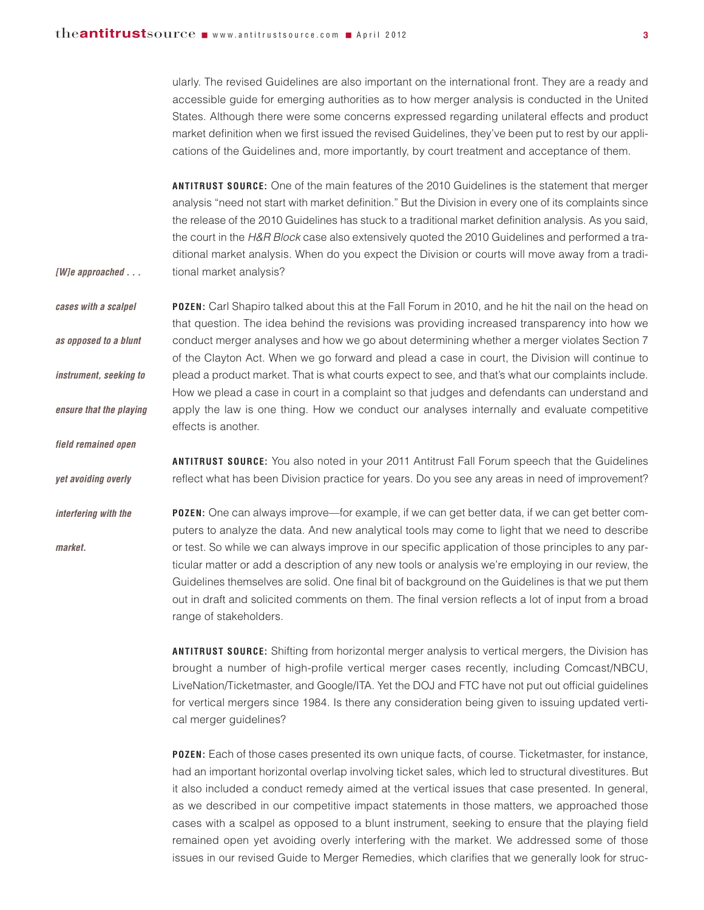*[W]e approached . . .*

*field remained open*

*yet avoiding overly*

ularly. The revised Guidelines are also important on the international front. They are a ready and accessible guide for emerging authorities as to how merger analysis is conducted in the United States. Although there were some concerns expressed regarding unilateral effects and product market definition when we first issued the revised Guidelines, they've been put to rest by our applications of the Guidelines and, more importantly, by court treatment and acceptance of them.

**ANTITRUST SOURCE:** One of the main features of the 2010 Guidelines is the statement that merger analysis "need not start with market definition." But the Division in every one of its complaints since the release of the 2010 Guidelines has stuck to a traditional market definition analysis. As you said, the court in the *H&R Block* case also extensively quoted the 2010 Guidelines and performed a traditional market analysis. When do you expect the Division or courts will move away from a traditional market analysis?

**POZEN:** Carl Shapiro talked about this at the Fall Forum in 2010, and he hit the nail on the head on that question. The idea behind the revisions was providing increased transparency into how we conduct merger analyses and how we go about determining whether a merger violates Section 7 of the Clayton Act. When we go forward and plead a case in court, the Division will continue to plead a product market. That is what courts expect to see, and that's what our complaints include. How we plead a case in court in a complaint so that judges and defendants can understand and apply the law is one thing. How we conduct our analyses internally and evaluate competitive effects is another. *cases with a scalpel as opposed to a blunt instrument, seeking to ensure that the playing*

> **ANTITRUST SOURCE:** You also noted in your 2011 Antitrust Fall Forum speech that the Guidelines reflect what has been Division practice for years. Do you see any areas in need of improvement?

**POZEN:** One can always improve—for example, if we can get better data, if we can get better computers to analyze the data. And new analytical tools may come to light that we need to describe or test. So while we can always improve in our specific application of those principles to any particular matter or add a description of any new tools or analysis we're employing in our review, the Guidelines themselves are solid. One final bit of background on the Guidelines is that we put them out in draft and solicited comments on them. The final version reflects a lot of input from a broad range of stakeholders. *interfering with the market.*

> **ANTITRUST SOURCE:** Shifting from horizontal merger analysis to vertical mergers, the Division has brought a number of high-profile vertical merger cases recently, including Comcast/NBCU, LiveNation/Ticketmaster, and Google/ITA. Yet the DOJ and FTC have not put out official guidelines for vertical mergers since 1984. Is there any consideration being given to issuing updated vertical merger guidelines?

> **POZEN:** Each of those cases presented its own unique facts, of course. Ticketmaster, for instance, had an important horizontal overlap involving ticket sales, which led to structural divestitures. But it also included a conduct remedy aimed at the vertical issues that case presented. In general, as we described in our competitive impact statements in those matters, we approached those cases with a scalpel as opposed to a blunt instrument, seeking to ensure that the playing field remained open yet avoiding overly interfering with the market. We addressed some of those issues in our revised Guide to Merger Remedies, which clarifies that we generally look for struc-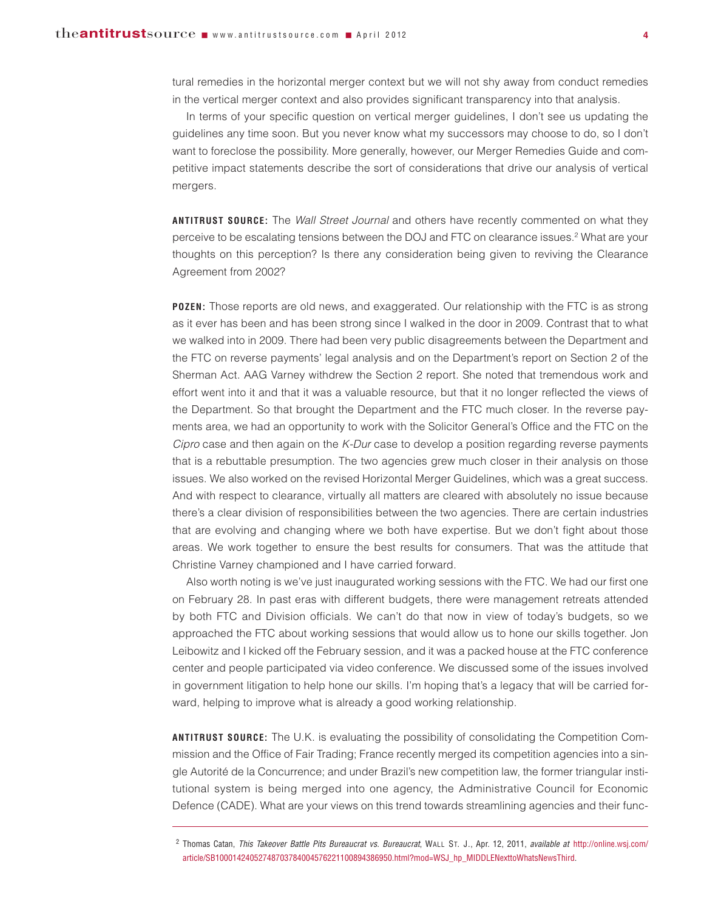tural remedies in the horizontal merger context but we will not shy away from conduct remedies in the vertical merger context and also provides significant transparency into that analysis.

In terms of your specific question on vertical merger guidelines, I don't see us updating the guidelines any time soon. But you never know what my successors may choose to do, so I don't want to foreclose the possibility. More generally, however, our Merger Remedies Guide and competitive impact statements describe the sort of considerations that drive our analysis of vertical mergers.

**ANTITRUST SOURCE:** The *Wall Street Journal* and others have recently commented on what they perceive to be escalating tensions between the DOJ and FTC on clearance issues. <sup>2</sup> What are your thoughts on this perception? Is there any consideration being given to reviving the Clearance Agreement from 2002?

**POZEN:** Those reports are old news, and exaggerated. Our relationship with the FTC is as strong as it ever has been and has been strong since I walked in the door in 2009. Contrast that to what we walked into in 2009. There had been very public disagreements between the Department and the FTC on reverse payments' legal analysis and on the Department's report on Section 2 of the Sherman Act. AAG Varney withdrew the Section 2 report. She noted that tremendous work and effort went into it and that it was a valuable resource, but that it no longer reflected the views of the Department. So that brought the Department and the FTC much closer. In the reverse payments area, we had an opportunity to work with the Solicitor General's Office and the FTC on the *Cipro* case and then again on the *K-Dur* case to develop a position regarding reverse payments that is a rebuttable presumption. The two agencies grew much closer in their analysis on those issues. We also worked on the revised Horizontal Merger Guidelines, which was a great success. And with respect to clearance, virtually all matters are cleared with absolutely no issue because there's a clear division of responsibilities between the two agencies. There are certain industries that are evolving and changing where we both have expertise. But we don't fight about those areas. We work together to ensure the best results for consumers. That was the attitude that Christine Varney championed and I have carried forward.

Also worth noting is we've just inaugurated working sessions with the FTC. We had our first one on February 28. In past eras with different budgets, there were management retreats attended by both FTC and Division officials. We can't do that now in view of today's budgets, so we approached the FTC about working sessions that would allow us to hone our skills together. Jon Leibowitz and I kicked off the February session, and it was a packed house at the FTC conference center and people participated via video conference. We discussed some of the issues involved in government litigation to help hone our skills. I'm hoping that's a legacy that will be carried forward, helping to improve what is already a good working relationship.

**ANTITRUST SOURCE:** The U.K. is evaluating the possibility of consolidating the Competition Commission and the Office of Fair Trading; France recently merged its competition agencies into a single Autorité de la Concurrence; and under Brazil's new competition law, the former triangular institutional system is being merged into one agency, the Administrative Council for Economic Defence (CADE). What are your views on this trend towards streamlining agencies and their func-

<sup>2</sup> Thomas Catan, *This Takeover Battle Pits Bureaucrat vs. Bureaucrat*, WALL ST. J., Apr. 12, 2011, *available at* [http://online.wsj.com/](http://online.wsj.com/article/SB10001424052748703784004576221100894386950.html?mod=WSJ_hp_MIDDLENexttoWhatsNewsThird) [article/SB10001424052748703784004576221100894386950.html?mod=WSJ\\_hp\\_MIDDLENexttoWhatsNewsThird.](http://online.wsj.com/article/SB10001424052748703784004576221100894386950.html?mod=WSJ_hp_MIDDLENexttoWhatsNewsThird)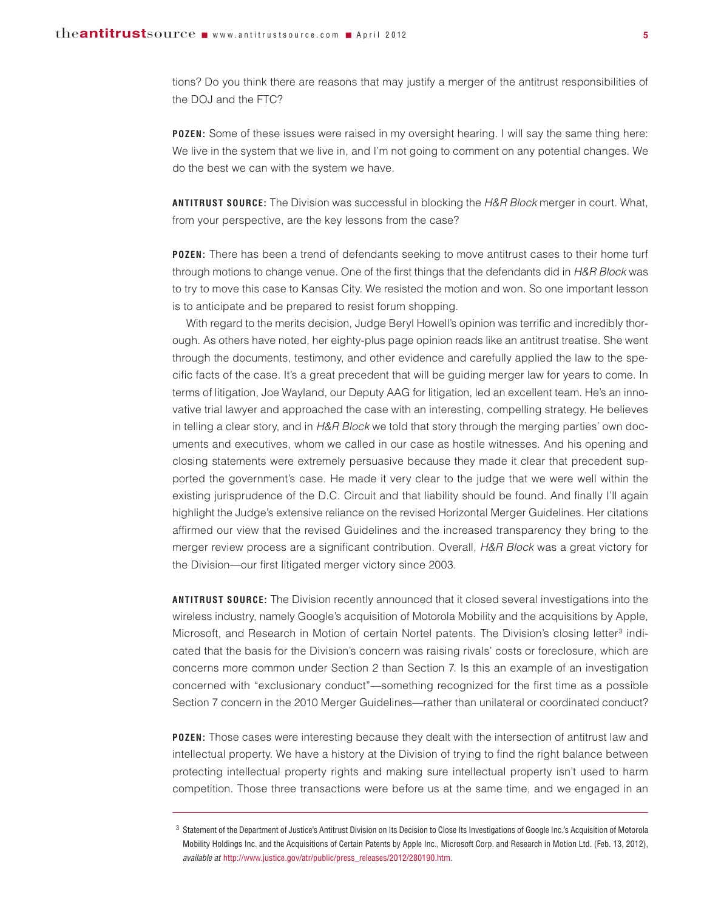tions? Do you think there are reasons that may justify a merger of the antitrust responsibilities of the DOJ and the FTC?

**POZEN:** Some of these issues were raised in my oversight hearing. I will say the same thing here: We live in the system that we live in, and I'm not going to comment on any potential changes. We do the best we can with the system we have.

**ANTITRUST SOURCE:** The Division was successful in blocking the *H&R Block* merger in court. What, from your perspective, are the key lessons from the case?

**POZEN:** There has been a trend of defendants seeking to move antitrust cases to their home turf through motions to change venue. One of the first things that the defendants did in *H&R Block* was to try to move this case to Kansas City. We resisted the motion and won. So one important lesson is to anticipate and be prepared to resist forum shopping.

With regard to the merits decision, Judge Beryl Howell's opinion was terrific and incredibly thorough. As others have noted, her eighty-plus page opinion reads like an antitrust treatise. She went through the documents, testimony, and other evidence and carefully applied the law to the specific facts of the case. It's a great precedent that will be guiding merger law for years to come. In terms of litigation, Joe Wayland, our Deputy AAG for litigation, led an excellent team. He's an innovative trial lawyer and approached the case with an interesting, compelling strategy. He believes in telling a clear story, and in *H&R Block* we told that story through the merging parties' own documents and executives, whom we called in our case as hostile witnesses. And his opening and closing statements were extremely persuasive because they made it clear that precedent supported the government's case. He made it very clear to the judge that we were well within the existing jurisprudence of the D.C. Circuit and that liability should be found. And finally I'll again highlight the Judge's extensive reliance on the revised Horizontal Merger Guidelines. Her citations affirmed our view that the revised Guidelines and the increased transparency they bring to the merger review process are a significant contribution. Overall, *H&R Block* was a great victory for the Division—our first litigated merger victory since 2003.

**ANTITRUST SOURCE:** The Division recently announced that it closed several investigations into the wireless industry, namely Google's acquisition of Motorola Mobility and the acquisitions by Apple, Microsoft, and Research in Motion of certain Nortel patents. The Division's closing letter<sup>3</sup> indicated that the basis for the Division's concern was raising rivals' costs or foreclosure, which are concerns more common under Section 2 than Section 7. Is this an example of an investigation concerned with "exclusionary conduct"—something recognized for the first time as a possible Section 7 concern in the 2010 Merger Guidelines—rather than unilateral or coordinated conduct?

**POZEN:** Those cases were interesting because they dealt with the intersection of antitrust law and intellectual property. We have a history at the Division of trying to find the right balance between protecting intellectual property rights and making sure intellectual property isn't used to harm competition. Those three transactions were before us at the same time, and we engaged in an

<sup>&</sup>lt;sup>3</sup> Statement of the Department of Justice's Antitrust Division on Its Decision to Close Its Investigations of Google Inc.'s Acquisition of Motorola Mobility Holdings Inc. and the Acquisitions of Certain Patents by Apple Inc., Microsoft Corp. and Research in Motion Ltd. (Feb. 13, 2012), *available at* http://www.justice.gov/atr/public/press\_releases/2012/280190.htm.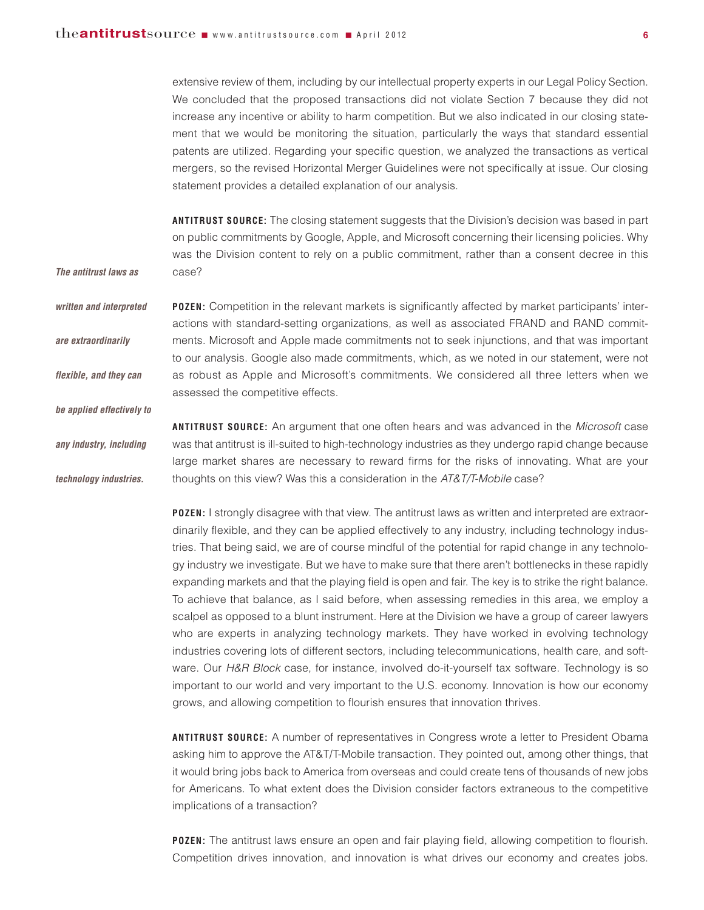*The antitrust laws as*

*be applied effectively to*

extensive review of them, including by our intellectual property experts in our Legal Policy Section. We concluded that the proposed transactions did not violate Section 7 because they did not increase any incentive or ability to harm competition. But we also indicated in our closing statement that we would be monitoring the situation, particularly the ways that standard essential patents are utilized. Regarding your specific question, we analyzed the transactions as vertical mergers, so the revised Horizontal Merger Guidelines were not specifically at issue. Our closing statement provides a detailed explanation of our analysis.

**ANTITRUST SOURCE:** The closing statement suggests that the Division's decision was based in part on public commitments by Google, Apple, and Microsoft concerning their licensing policies. Why was the Division content to rely on a public commitment, rather than a consent decree in this case?

**POZEN:** Competition in the relevant markets is significantly affected by market participants' interactions with standard-setting organizations, as well as associated FRAND and RAND commitments. Microsoft and Apple made commitments not to seek injunctions, and that was important to our analysis. Google also made commitments, which, as we noted in our statement, were not as robust as Apple and Microsoft's commitments. We considered all three letters when we assessed the competitive effects. *written and interpreted are extraordinarily flexible, and they can*

**ANTITRUST SOURCE:** An argument that one often hears and was advanced in the *Microsoft* case was that antitrust is ill-suited to high-technology industries as they undergo rapid change because large market shares are necessary to reward firms for the risks of innovating. What are your thoughts on this view? Was this a consideration in the *AT&T/T-Mobile* case? *any industry, including technology industries.*

> **POZEN:** I strongly disagree with that view. The antitrust laws as written and interpreted are extraordinarily flexible, and they can be applied effectively to any industry, including technology industries. That being said, we are of course mindful of the potential for rapid change in any technology industry we investigate. But we have to make sure that there aren't bottlenecks in these rapidly expanding markets and that the playing field is open and fair. The key is to strike the right balance. To achieve that balance, as I said before, when assessing remedies in this area, we employ a scalpel as opposed to a blunt instrument. Here at the Division we have a group of career lawyers who are experts in analyzing technology markets. They have worked in evolving technology industries covering lots of different sectors, including telecommunications, health care, and software. Our *H&R Block* case, for instance, involved do-it-yourself tax software. Technology is so important to our world and very important to the U.S. economy. Innovation is how our economy grows, and allowing competition to flourish ensures that innovation thrives.

> **ANTITRUST SOURCE:** A number of representatives in Congress wrote a letter to President Obama asking him to approve the AT&T/T-Mobile transaction. They pointed out, among other things, that it would bring jobs back to America from overseas and could create tens of thousands of new jobs for Americans. To what extent does the Division consider factors extraneous to the competitive implications of a transaction?

> **POZEN:** The antitrust laws ensure an open and fair playing field, allowing competition to flourish. Competition drives innovation, and innovation is what drives our economy and creates jobs.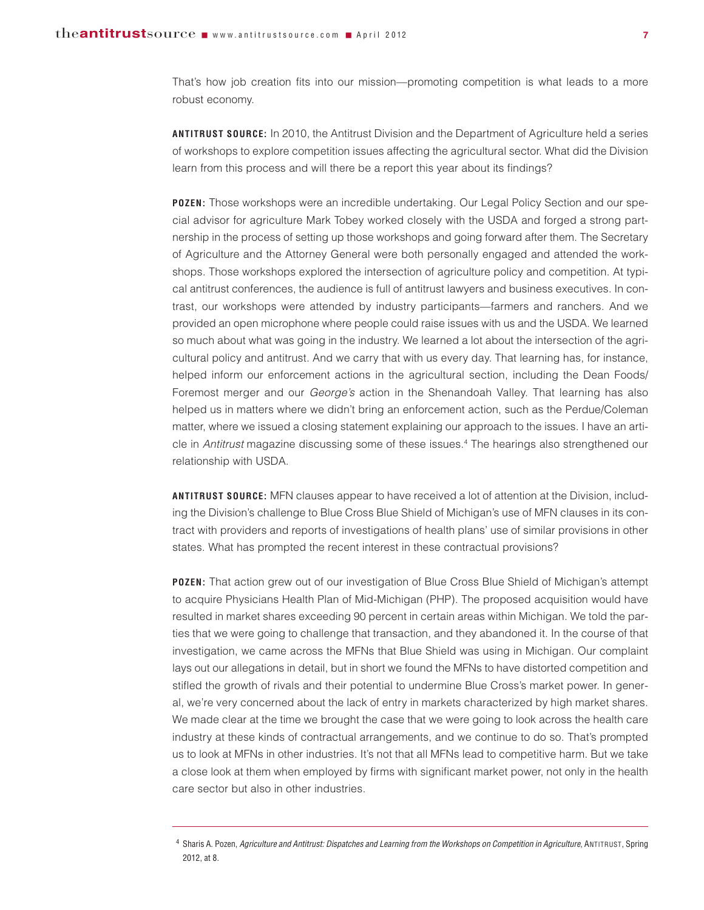That's how job creation fits into our mission—promoting competition is what leads to a more robust economy.

**ANTITRUST SOURCE:** In 2010, the Antitrust Division and the Department of Agriculture held a series of workshops to explore competition issues affecting the agricultural sector. What did the Division learn from this process and will there be a report this year about its findings?

**POZEN:** Those workshops were an incredible undertaking. Our Legal Policy Section and our special advisor for agriculture Mark Tobey worked closely with the USDA and forged a strong partnership in the process of setting up those workshops and going forward after them. The Secretary of Agriculture and the Attorney General were both personally engaged and attended the workshops. Those workshops explored the intersection of agriculture policy and competition. At typical antitrust conferences, the audience is full of antitrust lawyers and business executives. In contrast, our workshops were attended by industry participants—farmers and ranchers. And we provided an open microphone where people could raise issues with us and the USDA. We learned so much about what was going in the industry. We learned a lot about the intersection of the agricultural policy and antitrust. And we carry that with us every day. That learning has, for instance, helped inform our enforcement actions in the agricultural section, including the Dean Foods/ Foremost merger and our *George's* action in the Shenandoah Valley. That learning has also helped us in matters where we didn't bring an enforcement action, such as the Perdue/Coleman matter, where we issued a closing statement explaining our approach to the issues. I have an article in *Antitrust* magazine discussing some of these issues. <sup>4</sup> The hearings also strengthened our relationship with USDA.

**ANTITRUST SOURCE:** MFN clauses appear to have received a lot of attention at the Division, including the Division's challenge to Blue Cross Blue Shield of Michigan's use of MFN clauses in its contract with providers and reports of investigations of health plans' use of similar provisions in other states. What has prompted the recent interest in these contractual provisions?

**POZEN:** That action grew out of our investigation of Blue Cross Blue Shield of Michigan's attempt to acquire Physicians Health Plan of Mid-Michigan (PHP). The proposed acquisition would have resulted in market shares exceeding 90 percent in certain areas within Michigan. We told the parties that we were going to challenge that transaction, and they abandoned it. In the course of that investigation, we came across the MFNs that Blue Shield was using in Michigan. Our complaint lays out our allegations in detail, but in short we found the MFNs to have distorted competition and stifled the growth of rivals and their potential to undermine Blue Cross's market power. In general, we're very concerned about the lack of entry in markets characterized by high market shares. We made clear at the time we brought the case that we were going to look across the health care industry at these kinds of contractual arrangements, and we continue to do so. That's prompted us to look at MFNs in other industries. It's not that all MFNs lead to competitive harm. But we take a close look at them when employed by firms with significant market power, not only in the health care sector but also in other industries.

<sup>4</sup> Sharis A. Pozen, Agriculture and Antitrust: Dispatches and Learning from the Workshops on Competition in Agriculture, ANTITRUST, Spring 2012, at 8.